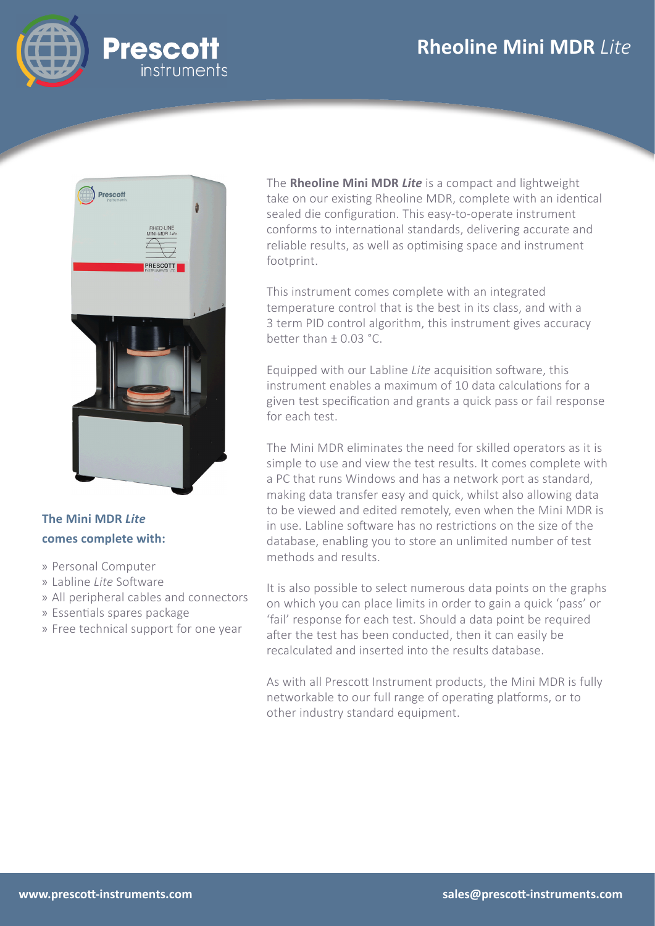# **Rheoline Mini MDR** *Lite*





### **The Mini MDR** *Lite* **comes complete with:**

- » Personal Computer
- » Labline Lite Software
- » All peripheral cables and connectors
- » Essentials spares package
- » Free technical support for one year

The **Rheoline Mini MDR** *Lite* is a compact and lightweight take on our existing Rheoline MDR, complete with an identical sealed die configuration. This easy-to-operate instrument conforms to international standards, delivering accurate and reliable results, as well as optimising space and instrument footprint.

This instrument comes complete with an integrated temperature control that is the best in its class, and with a 3 term PID control algorithm, this instrument gives accuracy better than  $\pm$  0.03 °C.

Equipped with our Labline *Lite* acquisition software, this instrument enables a maximum of 10 data calculations for a given test specification and grants a quick pass or fail response for each test.

The Mini MDR eliminates the need for skilled operators as it is simple to use and view the test results. It comes complete with a PC that runs Windows and has a network port as standard, making data transfer easy and quick, whilst also allowing data to be viewed and edited remotely, even when the Mini MDR is in use. Labline software has no restrictions on the size of the database, enabling you to store an unlimited number of test methods and results.

It is also possible to select numerous data points on the graphs on which you can place limits in order to gain a quick 'pass' or 'fail' response for each test. Should a data point be required after the test has been conducted, then it can easily be recalculated and inserted into the results database.

As with all Prescott Instrument products, the Mini MDR is fully networkable to our full range of operating platforms, or to other industry standard equipment.